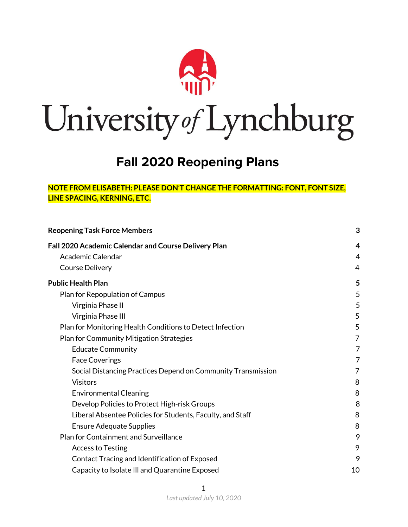

# University of Lynchburg

# **Fall 2020 Reopening Plans**

#### **NOTE FROM ELISABETH: PLEASE DON'T CHANGE THE FORMATTING: FONT, FONT SIZE, LINE SPACING, KERNING, ETC.**

| <b>Reopening Task Force Members</b>                          |    |
|--------------------------------------------------------------|----|
| Fall 2020 Academic Calendar and Course Delivery Plan         | 4  |
| Academic Calendar                                            | 4  |
| Course Delivery                                              | 4  |
| <b>Public Health Plan</b>                                    | 5  |
| Plan for Repopulation of Campus                              | 5  |
| Virginia Phase II                                            | 5  |
| Virginia Phase III                                           | 5  |
| Plan for Monitoring Health Conditions to Detect Infection    | 5  |
| Plan for Community Mitigation Strategies                     | 7  |
| <b>Educate Community</b>                                     | 7  |
| <b>Face Coverings</b>                                        | 7  |
| Social Distancing Practices Depend on Community Transmission | 7  |
| <b>Visitors</b>                                              | 8  |
| <b>Environmental Cleaning</b>                                | 8  |
| Develop Policies to Protect High-risk Groups                 | 8  |
| Liberal Absentee Policies for Students, Faculty, and Staff   | 8  |
| <b>Ensure Adequate Supplies</b>                              | 8  |
| Plan for Containment and Surveillance                        | 9  |
| <b>Access to Testing</b>                                     | 9  |
| Contact Tracing and Identification of Exposed                | 9  |
| Capacity to Isolate III and Quarantine Exposed               | 10 |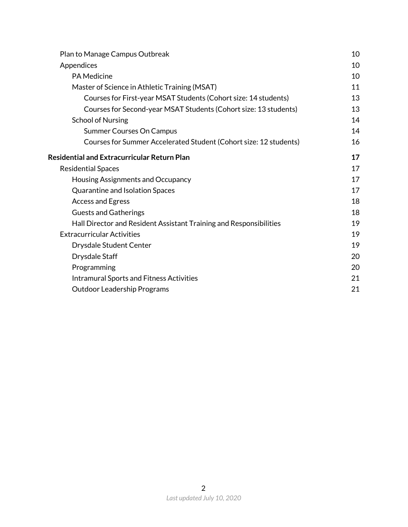| Plan to Manage Campus Outbreak                                     | 10 |
|--------------------------------------------------------------------|----|
| Appendices                                                         | 10 |
| <b>PA Medicine</b>                                                 | 10 |
| Master of Science in Athletic Training (MSAT)                      | 11 |
| Courses for First-year MSAT Students (Cohort size: 14 students)    | 13 |
| Courses for Second-year MSAT Students (Cohort size: 13 students)   | 13 |
| <b>School of Nursing</b>                                           | 14 |
| <b>Summer Courses On Campus</b>                                    | 14 |
| Courses for Summer Accelerated Student (Cohort size: 12 students)  | 16 |
| <b>Residential and Extracurricular Return Plan</b>                 | 17 |
| <b>Residential Spaces</b>                                          | 17 |
| Housing Assignments and Occupancy                                  | 17 |
| Quarantine and Isolation Spaces                                    | 17 |
| <b>Access and Egress</b>                                           | 18 |
| <b>Guests and Gatherings</b>                                       | 18 |
| Hall Director and Resident Assistant Training and Responsibilities | 19 |
| <b>Extracurricular Activities</b>                                  | 19 |
| <b>Drysdale Student Center</b>                                     | 19 |
| Drysdale Staff                                                     | 20 |
| Programming                                                        | 20 |
| <b>Intramural Sports and Fitness Activities</b>                    | 21 |
| <b>Outdoor Leadership Programs</b>                                 | 21 |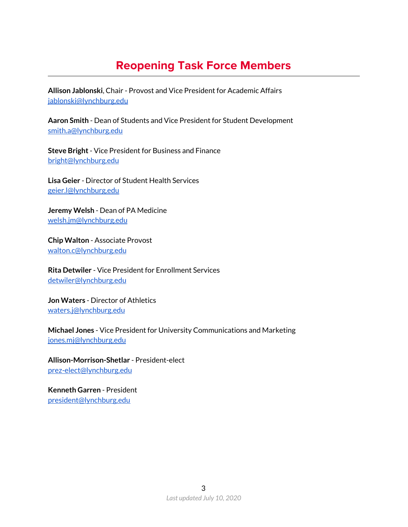# **Reopening Task Force Members**

<span id="page-2-0"></span>**Allison Jablonski**, Chair - Provost and Vice President for Academic Affairs [jablonski@lynchburg.edu](mailto:jablonski@lynchburg.edu)

**Aaron Smith** - Dean of Students and Vice President for Student Development [smith.a@lynchburg.edu](mailto:smith.a@lynchburg.edu)

**Steve Bright**- Vice President for Business and Finance [bright@lynchburg.edu](mailto:bright@lynchburg.edu)

**Lisa Geier** - Director of Student Health Services [geier.l@lynchburg.edu](mailto:geier.l@lynchburg.edu)

**Jeremy Welsh** - Dean of PA Medicine [welsh.jm@lynchburg.edu](mailto:welsh.jm@lynchburg.edu)

**Chip Walton** - Associate Provost [walton.c@lynchburg.edu](mailto:walton.c@lynchburg.edu)

**Rita Detwiler** - Vice President for Enrollment Services [detwiler@lynchburg.edu](mailto:detwiler@lynchburg.edu)

**Jon Waters** - Director of Athletics [waters.j@lynchburg.edu](mailto:waters.j@lynchburg.edu)

**Michael Jones** - Vice President for University Communications and Marketing [jones.mj@lynchburg.edu](mailto:jones.mj@lynchburg.edu)

**Allison-Morrison-Shetlar** - President-elect [prez-elect@lynchburg.edu](mailto:prez-elect@lynchburg.edu)

**Kenneth Garren** - President [president@lynchburg.edu](mailto:president@lynchburg.edu)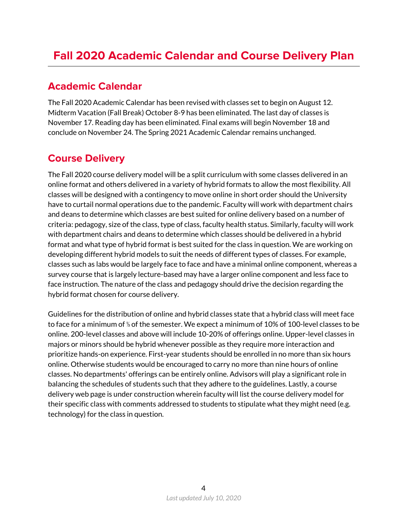# <span id="page-3-1"></span><span id="page-3-0"></span>**Academic Calendar**

The Fall 2020 Academic Calendar has been revised with classes set to begin on August 12. Midterm Vacation (Fall Break) October 8-9 has been eliminated. The last day of classes is November 17. Reading day has been eliminated. Final exams will begin November 18 and conclude on November 24. The Spring 2021 Academic Calendar remains unchanged.

# <span id="page-3-2"></span>**Course Delivery**

The Fall 2020 course delivery model will be a split curriculum with some classes delivered in an online format and others delivered in a variety of hybrid formats to allow the most flexibility. All classes will be designed with a contingency to move online in short order should the University have to curtail normal operations due to the pandemic. Faculty will work with department chairs and deans to determine which classes are best suited for online delivery based on a number of criteria: pedagogy, size of the class, type of class, faculty health status. Similarly, faculty will work with department chairs and deans to determine which classes should be delivered in a hybrid format and what type of hybrid format is best suited for the class in question. We are working on developing different hybrid models to suit the needs of different types of classes. For example, classes such as labs would be largely face to face and have a minimal online component, whereas a survey course that is largely lecture-based may have a larger online component and less face to face instruction. The nature of the class and pedagogy should drive the decision regarding the hybrid format chosen for course delivery.

Guidelines for the distribution of online and hybrid classes state that a hybrid class will meet face to face for a minimum of ⅓ of the semester. We expect a minimum of 10% of 100-level classes to be online. 200-level classes and above will include 10-20% of offerings online. Upper-level classes in majors or minors should be hybrid whenever possible as they require more interaction and prioritize hands-on experience. First-year students should be enrolled in no more than six hours online. Otherwise students would be encouraged to carry no more than nine hours of online classes. No departments' offerings can be entirely online. Advisors will play a significant role in balancing the schedules of students such that they adhere to the guidelines. Lastly, a course delivery web page is under construction wherein faculty will list the course delivery model for their specific class with comments addressed to students to stipulate what they might need (e.g. technology) for the class in question.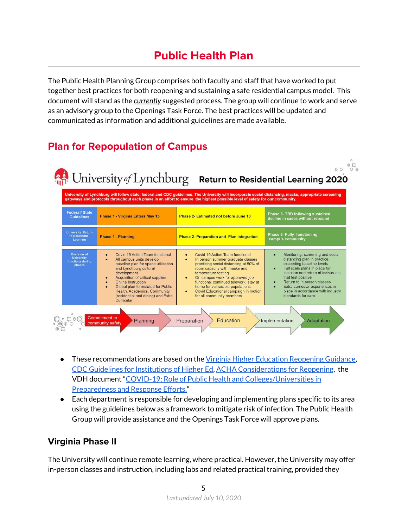# **Public Health Plan**

<span id="page-4-0"></span>The Public Health Planning Group comprises both faculty and staff that have worked to put together best practices for both reopening and sustaining a safe residential campus model. This document will stand as the *currently* suggested process. The group will continue to work and serve as an advisory group to the Openings Task Force. The best practices will be updated and communicated as information and additional guidelines are made available.

# <span id="page-4-1"></span>**Plan for Repopulation of Campus**

| University of Lynchburg will follow state, federal and CDC guidelines. The University will incorporate social distancing, masks, appropriate screening<br>gateways and protocols throughout each phase in an effort to ensure the highest possible level of safety for our community. |                                                                                                                                                                                                                                                                                                                                |                                                                                                                                                                                                                                                                                                                                                                                                    |                                                                                                                                                                                                                                                                                                                                                                               |  |
|---------------------------------------------------------------------------------------------------------------------------------------------------------------------------------------------------------------------------------------------------------------------------------------|--------------------------------------------------------------------------------------------------------------------------------------------------------------------------------------------------------------------------------------------------------------------------------------------------------------------------------|----------------------------------------------------------------------------------------------------------------------------------------------------------------------------------------------------------------------------------------------------------------------------------------------------------------------------------------------------------------------------------------------------|-------------------------------------------------------------------------------------------------------------------------------------------------------------------------------------------------------------------------------------------------------------------------------------------------------------------------------------------------------------------------------|--|
| <b>Federal/State</b><br><b>Guidelines</b>                                                                                                                                                                                                                                             | <b>Phase 1 - Virginia Enters May 15</b>                                                                                                                                                                                                                                                                                        | Phase 2- Estimated not before June 10                                                                                                                                                                                                                                                                                                                                                              | Phase 3- TBD following sustained<br>decline in cases without rebound                                                                                                                                                                                                                                                                                                          |  |
| <b>University Return</b><br>to Residential<br>Learning                                                                                                                                                                                                                                | <b>Phase 1 - Planning</b>                                                                                                                                                                                                                                                                                                      | <b>Phase 2- Preparation and Plan Integration</b>                                                                                                                                                                                                                                                                                                                                                   | <b>Phase 3- Fully functioning</b><br>campus community                                                                                                                                                                                                                                                                                                                         |  |
| Overview of<br><b>University</b><br>functions during<br>phases                                                                                                                                                                                                                        | Covid 19 Action Team functional<br>All campus units develop<br>baseline plan for space utilization<br>and Lynchburg cultural<br>development<br>Acquisition of critical supplies<br>Online Instruction<br>Global plan formulated for Public<br>Health, Academics, Community<br>(residential and dining) and Extra<br>Curricular | Covid 19 Action Team functional<br>$\bullet$<br>In person summer graduate classes<br>$\bullet$<br>practicing social distancing at 50% of<br>room capacity with masks and<br>temperature testing.<br>On campus work for approved job<br>functions, continued telework, stay at<br>home for vulnerable populations<br>Covid Educational campaign in motion<br>$\bullet$<br>for all community members | Monitoring, screening and social<br>$\bullet$<br>distancing plan in practice.<br>exceeding baseline levels<br>Full scale plans in place for<br>$\bullet$<br>Isolation and return of individuals<br>that test positive.<br>Return to in person classes<br>$\bullet$<br>Extra curricular experiences in<br>$\bullet$<br>place in accordance with industry<br>standards for care |  |

- These recommendations are based on the Virginia Higher Education [Reopening](https://www.governor.virginia.gov/media/governorvirginiagov/governor-of-virginia/pdf/Higher-Education-Reopening-Guidance.pdf) Guidance, CDC Guidelines for [Institutions](https://www.cdc.gov/coronavirus/2019-ncov/community/colleges-universities/considerations.html) of Higher Ed, ACHA [Considerations](https://drive.google.com/open?id=1l4uri9Lr70JAOnY4zZ8bPGsYn9Tl9dOw) for Reopening, the VDH document "COVID-19: Role of Public Health and [Colleges/Universities](https://www.vdh.virginia.gov/content/uploads/sites/182/2020/06/COVID-and-Public-Health-CollegesUniversities.pdf) in [Preparedness](https://www.vdh.virginia.gov/content/uploads/sites/182/2020/06/COVID-and-Public-Health-CollegesUniversities.pdf) and Response Efforts."
- Each department is responsible for developing and implementing plans specific to its area using the guidelines below as a framework to mitigate risk of infection. The Public Health Group will provide assistance and the Openings Task Force will approve plans.

### <span id="page-4-2"></span>**Virginia Phase II**

The University will continue remote learning, where practical. However, the University may offer in-person classes and instruction, including labs and related practical training, provided they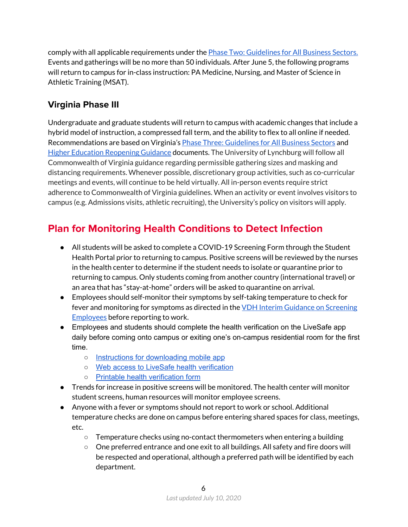comply with all applicable requirements under the Phase Two: [Guidelines](https://www.governor.virginia.gov/media/governorvirginiagov/governor-of-virginia/pdf/Virginia-Forward-Phase-Two-Guidelines.pdf) for All Business Sectors. Events and gatherings will be no more than 50 individuals. After June 5, the following programs will return to campus for in-class instruction: PA Medicine, Nursing, and Master of Science in Athletic Training (MSAT).

# <span id="page-5-0"></span>**Virginia Phase III**

Undergraduate and graduate students will return to campus with academic changes that include a hybrid model of instruction, a compressed fall term, and the ability to flex to all online if needed. Recommendations are based on Virginia's Phase Three: [Guidelines](https://www.governor.virginia.gov/media/governorvirginiagov/governor-of-virginia/pdf/Virginia-Forward-Phase-Three-Guidelines.pdf) for All Business Sectors and Higher Education [Reopening](https://www.governor.virginia.gov/media/governorvirginiagov/governor-of-virginia/pdf/Higher-Education-Reopening-Guidance.pdf) Guidance documents. The University of Lynchburg will follow all Commonwealth of Virginia guidance regarding permissible gathering sizes and masking and distancing requirements. Whenever possible, discretionary group activities, such as co-curricular meetings and events, will continue to be held virtually. All in-person events require strict adherence to Commonwealth of Virginia guidelines. When an activity or event involves visitors to campus (e.g. Admissions visits, athletic recruiting), the University's policy on visitors will apply.

# <span id="page-5-1"></span>**Plan for Monitoring Health Conditions to Detect Infection**

- All students will be asked to complete a COVID-19 Screening Form through the Student Health Portal prior to returning to campus. Positive screens will be reviewed by the nurses in the health center to determine if the student needs to isolate or quarantine prior to returning to campus. Only students coming from another country (international travel) or an area that has "stay-at-home" orders will be asked to quarantine on arrival.
- Employees should self-monitor their symptoms by self-taking temperature to check for fever and monitoring for symptoms as directed in the VDH Interim Guidance on [Screening](https://www.vdh.virginia.gov/coronavirus/vdh-interim-guidance-for-daily-covid-19-screening-of-employees-and-visitors/) **[Employees](https://www.vdh.virginia.gov/coronavirus/vdh-interim-guidance-for-daily-covid-19-screening-of-employees-and-visitors/)** before reporting to work.
- Employees and students should complete the health verification on the LiveSafe app daily before coming onto campus or exiting one's on-campus residential room for the first time.
	- o **Instructions for [downloading](https://www.lynchburg.edu/student-life/campus-safety/live-safe/) mobile app**
	- Web access to LiveSafe health [verification](https://livesafe.jotform.com/201607970037857)
	- Printable health [verification](https://docs.google.com/document/d/1KEJeg_2d8HrbEStIA6poAdoRlBQ_s7Xf/edit) form
- Trends for increase in positive screens will be monitored. The health center will monitor student screens, human resources will monitor employee screens.
- Anyone with a fever or symptoms should not report to work or school. Additional temperature checks are done on campus before entering shared spaces for class, meetings, etc.
	- $\circ$  Temperature checks using no-contact thermometers when entering a building
	- One preferred entrance and one exit to all buildings. All safety and fire doors will be respected and operational, although a preferred path will be identified by each department.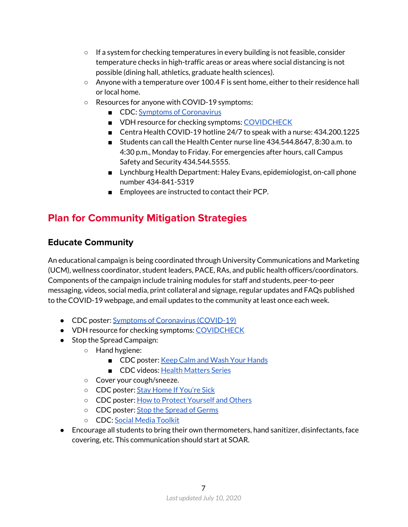- $\circ$  If a system for checking temperatures in every building is not feasible, consider temperature checks in high-traffic areas or areas where social distancing is not possible (dining hall, athletics, graduate health sciences).
- $\circ$  Anyone with a temperature over 100.4 F is sent home, either to their residence hall or local home.
- Resources for anyone with COVID-19 symptoms:
	- CDC: Symptoms of [Coronavirus](https://www.cdc.gov/coronavirus/2019-ncov/symptoms-testing/symptoms.html?CDC_AA_refVal=https%3A%2F%2Fwww.cdc.gov%2Fcoronavirus%2F2019-ncov%2Fabout%2Fsymptoms.html)
	- VDH resource for checking symptoms: [COVIDCHECK](https://www.vdh.virginia.gov/coronavirus/covidcheck/)
	- Centra Health COVID-19 hotline 24/7 to speak with a nurse: 434.200.1225
	- Students can call the Health Center nurse line 434.544.8647, 8:30 a.m. to 4:30 p.m., Monday to Friday. For emergencies after hours, call Campus Safety and Security 434.544.5555.
	- Lynchburg Health Department: Haley Evans, epidemiologist, on-call phone number 434-841-5319
	- Employees are instructed to contact their PCP.

# <span id="page-6-0"></span>**Plan for Community Mitigation Strategies**

#### <span id="page-6-1"></span>**Educate Community**

An educational campaign is being coordinated through University Communications and Marketing (UCM), wellness coordinator, student leaders, PACE, RAs, and public health officers/coordinators. Components of the campaign include training modules for staff and students, peer-to-peer messaging, videos, social media, print collateral and signage, regular updates and FAQs published to the COVID-19 webpage, and email updates to the community at least once each week.

- CDC poster: Symptoms of [Coronavirus](https://www.cdc.gov/coronavirus/2019-ncov/downloads/COVID19-symptoms.pdf) (COVID-19)
- VDH resource for checking symptoms: [COVIDCHECK](https://www.vdh.virginia.gov/coronavirus/covidcheck/)
- Stop the Spread Campaign:
	- Hand hygiene:
		- CDC poster: Keep Calm and Wash Your [Hands](https://www.cdc.gov/handwashing/pdf/keep-calm-wash-your-hands_11x17.pdf)
		- CDC videos: Health [Matters](https://www.cdc.gov/handwashing/videos.html) Series
	- Cover your cough/sneeze.
	- CDC poster: Stay Home If [You're](https://www.cdc.gov/nonpharmaceutical-interventions/pdf/stay-home-youre-sick-employers-item4.pdf) Sick
	- CDC poster: How to Protect [Yourself](https://www.cdc.gov/coronavirus/2019-ncov/prevent-getting-sick/prevention-H.pdf) and Others
	- CDC poster: Stop the [Spread](https://www.cdc.gov/coronavirus/2019-ncov/downloads/stop-the-spread-of-germs.pdf) of Germs
	- CDC: Social Media [Toolkit](https://www.cdc.gov/coronavirus/2019-ncov/communication/social-media-toolkit.html)
- Encourage all students to bring their own thermometers, hand sanitizer, disinfectants, face covering, etc. This communication should start at SOAR.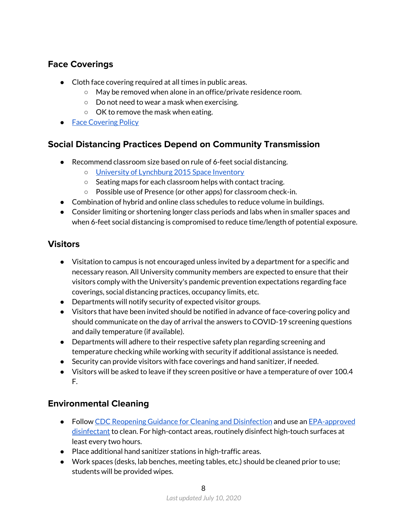# <span id="page-7-0"></span>**Face Coverings**

- Cloth face covering required at all times in public areas.
	- May be removed when alone in an office/private residence room.
	- Do not need to wear a mask when exercising.
	- OK to remove the mask when eating.
- Face [Covering](https://www.lynchburg.edu/about/covid-19/fall-2020-reopening-face-covering-policy/) Policy

# <span id="page-7-1"></span>**Social Distancing Practices Depend on Community Transmission**

- Recommend classroom size based on rule of 6-feet social distancing.
	- o University of [Lynchburg](https://drive.google.com/open?id=1LWE0ThW59w6xhEAyq-EgrpltY0L_LUIa) 2015 Space Inventory
	- Seating maps for each classroom helps with contact tracing.
	- Possible use of Presence (or other apps) for classroom check-in.
- Combination of hybrid and online class schedules to reduce volume in buildings.
- Consider limiting or shortening longer class periods and labs when in smaller spaces and when 6-feet social distancing is compromised to reduce time/length of potential exposure.

### <span id="page-7-2"></span>**Visitors**

- Visitation to campus is not encouraged unless invited by a department for a specific and necessary reason. All University community members are expected to ensure that their visitors comply with the University's pandemic prevention expectations regarding face coverings, social distancing practices, occupancy limits, etc.
- Departments will notify security of expected visitor groups.
- Visitors that have been invited should be notified in advance of face-covering policy and should communicate on the day of arrival the answers to COVID-19 screening questions and daily temperature (if available).
- Departments will adhere to their respective safety plan regarding screening and temperature checking while working with security if additional assistance is needed.
- Security can provide visitors with face coverings and hand sanitizer, if needed.
- Visitors will be asked to leave if they screen positive or have a temperature of over 100.4 F.

### <span id="page-7-3"></span>**Environmental Cleaning**

- Follow CDC Reopening Guidance for Cleaning and [Disinfection](https://www.cdc.gov/coronavirus/2019-ncov/community/reopen-guidance.html) and use an [EPA-approved](https://www.epa.gov/pesticide-registration/list-n-disinfectants-use-against-sars-cov-2) [disinfectant](https://www.epa.gov/pesticide-registration/list-n-disinfectants-use-against-sars-cov-2) to clean. For high-contact areas, routinely disinfect high-touch surfaces at least every two hours.
- Place additional hand sanitizer stations in high-traffic areas.
- Work spaces (desks, lab benches, meeting tables, etc.) should be cleaned prior to use; students will be provided wipes.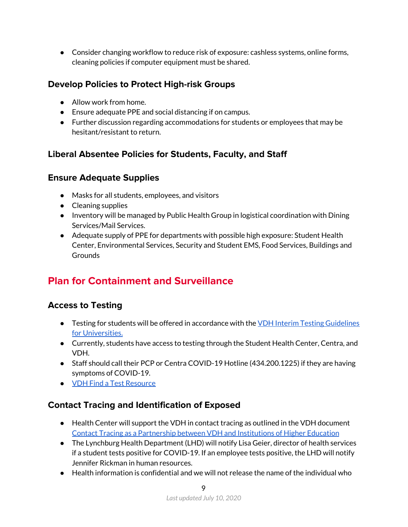● Consider changing workflow to reduce risk of exposure: cashless systems, online forms, cleaning policies if computer equipment must be shared.

## <span id="page-8-0"></span>**Develop Policies to Protect High-risk Groups**

- Allow work from home.
- Ensure adequate PPE and social distancing if on campus.
- Further discussion regarding accommodations for students or employees that may be hesitant/resistant to return.

# <span id="page-8-1"></span>**Liberal Absentee Policies for Students, Faculty, and Staff**

### <span id="page-8-2"></span>**Ensure Adequate Supplies**

- Masks for all students, employees, and visitors
- Cleaning supplies
- Inventory will be managed by Public Health Group in logistical coordination with Dining Services/Mail Services.
- Adequate supply of PPE for departments with possible high exposure: Student Health Center, Environmental Services, Security and Student EMS, Food Services, Buildings and **Grounds**

# <span id="page-8-3"></span>**Plan for Containment and Surveillance**

# <span id="page-8-4"></span>**Access to Testing**

- Testing for students will be offered in accordance with the VDH Interim Testing [Guidelines](https://www.vdh.virginia.gov/content/uploads/sites/182/2020/05/VDH-COVID-19-Testing-for-Colleges-and-Universities.pdf) for [Universities.](https://www.vdh.virginia.gov/content/uploads/sites/182/2020/05/VDH-COVID-19-Testing-for-Colleges-and-Universities.pdf)
- Currently, students have access to testing through the Student Health Center, Centra, and VDH.
- Staff should call their PCP or Centra COVID-19 Hotline (434.200.1225) if they are having symptoms of COVID-19.
- VDH Find a Test [Resource](https://www.vdh.virginia.gov/coronavirus/covidcheck/)

# <span id="page-8-5"></span>**Contact Tracing and Identification of Exposed**

- Health Center will support the VDH in contact tracing as outlined in the VDH document Contact Tracing as a [Partnership](https://www.vdh.virginia.gov/content/uploads/sites/182/2020/06/VDH-IHE-and-Contact-Tracing_061720_final.pdf) between VDH and Institutions of Higher Education
- The Lynchburg Health Department (LHD) will notify Lisa Geier, director of health services if a student tests positive for COVID-19. If an employee tests positive, the LHD will notify Jennifer Rickman in human resources.
- $\bullet$  Health information is confidential and we will not release the name of the individual who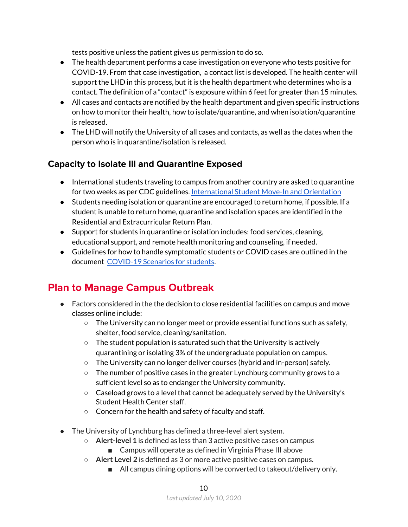tests positive unless the patient gives us permission to do so.

- The health department performs a case investigation on everyone who tests positive for COVID-19. From that case investigation, a contact list is developed. The health center will support the LHD in this process, but it is the health department who determines who is a contact. The definition of a "contact" is exposure within 6 feet for greater than 15 minutes.
- All cases and contacts are notified by the health department and given specific instructions on how to monitor their health, how to isolate/quarantine, and when isolation/quarantine is released.
- The LHD will notify the University of all cases and contacts, as well as the dates when the person who is in quarantine/isolation is released.

#### <span id="page-9-0"></span>**Capacity to Isolate Ill and Quarantine Exposed**

- International students traveling to campus from another country are asked to quarantine for two weeks as per CDC guidelines. [International](https://drive.google.com/file/d/1r2OHMSw8H4bJIuJJKSfwwLEQ3H9GWf4m/view) Student Move-In and Orientation
- Students needing isolation or quarantine are encouraged to return home, if possible. If a student is unable to return home, quarantine and isolation spaces are identified in the Residential and Extracurricular Return Plan.
- Support for students in quarantine or isolation includes: food services, cleaning, educational support, and remote health monitoring and counseling, if needed.
- Guidelines for how to handle symptomatic students or COVID cases are outlined in the document [COVID-19](https://docs.google.com/document/d/1XtEBwa8r9sllk4pI7t2junwfK9pCUuuEQeuFnFkazCM/edit) Scenarios for students.

# <span id="page-9-1"></span>**Plan to Manage Campus Outbreak**

- Factors considered in the the decision to close residential facilities on campus and move classes online include:
	- $\circ$  The University can no longer meet or provide essential functions such as safety, shelter, food service, cleaning/sanitation.
	- The student population is saturated such that the University is actively quarantining or isolating 3% of the undergraduate population on campus.
	- $\circ$  The University can no longer deliver courses (hybrid and in-person) safely.
	- The number of positive cases in the greater Lynchburg community grows to a sufficient level so as to endanger the University community.
	- $\circ$  Caseload grows to a level that cannot be adequately served by the University's Student Health Center staff.
	- Concern for the health and safety of faculty and staff.
- The University of Lynchburg has defined a three-level alert system.
	- **Alert-level 1** is defined as less than 3 active positive cases on campus
		- Campus will operate as defined in Virginia Phase III above
	- **Alert Level 2** is defined as 3 or more active positive cases on campus.
		- All campus dining options will be converted to takeout/delivery only.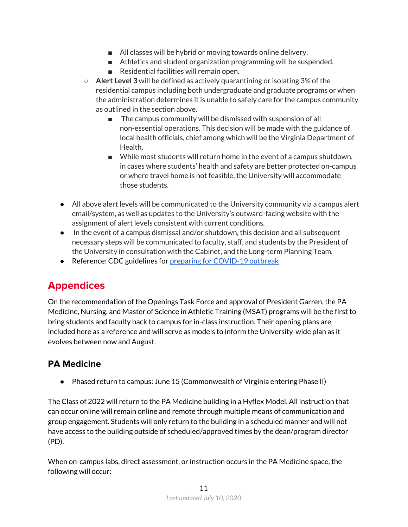- All classes will be hybrid or moving towards online delivery.
- Athletics and student organization programming will be suspended.
- Residential facilities will remain open.
- **Alert Level 3** will be defined as actively quarantining or isolating 3% of the residential campus including both undergraduate and graduate programs or when the administration determines it is unable to safely care for the campus community as outlined in the section above.
	- The campus community will be dismissed with suspension of all non-essential operations. This decision will be made with the guidance of local health officials, chief among which will be the Virginia Department of Health.
	- While most students will return home in the event of a campus shutdown, in cases where students' health and safety are better protected on-campus or where travel home is not feasible, the University will accommodate those students.
- All above alert levels will be communicated to the University community via a campus alert email/system, as well as updates to the University's outward-facing website with the assignment of alert levels consistent with current conditions.
- In the event of a campus dismissal and/or shutdown, this decision and all subsequent necessary steps will be communicated to faculty, staff, and students by the President of the University in consultation with the Cabinet, and the Long-term Planning Team.
- Reference: CDC guidelines for preparing for [COVID-19](https://www.cdc.gov/coronavirus/2019-ncov/community/guidance-ihe-response.html) outbreak

# <span id="page-10-0"></span>**Appendices**

On the recommendation of the Openings Task Force and approval of President Garren, the PA Medicine, Nursing, and Master of Science in Athletic Training (MSAT) programs will be the first to bring students and faculty back to campus for in-class instruction. Their opening plans are included here as a reference and will serve as models to inform the University-wide plan as it evolves between now and August.

# <span id="page-10-1"></span>**PA Medicine**

● Phased return to campus: June 15 (Commonwealth of Virginia entering Phase II)

The Class of 2022 will return to the PA Medicine building in a Hyflex Model. All instruction that can occur online will remain online and remote through multiple means of communication and group engagement. Students will only return to the building in a scheduled manner and will not have access to the building outside of scheduled/approved times by the dean/program director (PD).

When on-campus labs, direct assessment, or instruction occurs in the PA Medicine space, the following will occur: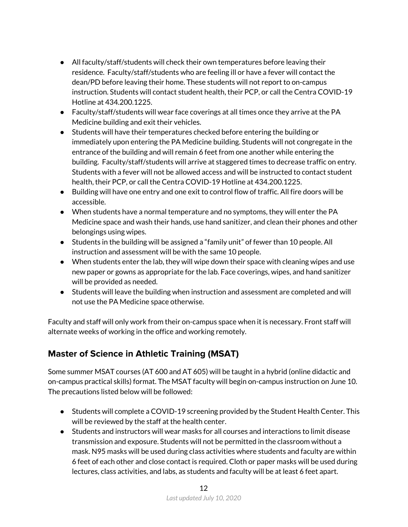- All faculty/staff/students will check their own temperatures before leaving their residence. Faculty/staff/students who are feeling ill or have a fever will contact the dean/PD before leaving their home. These students will not report to on-campus instruction. Students will contact student health, their PCP, or call the Centra COVID-19 Hotline at 434.200.1225.
- Faculty/staff/students will wear face coverings at all times once they arrive at the PA Medicine building and exit their vehicles.
- Students will have their temperatures checked before entering the building or immediately upon entering the PA Medicine building. Students will not congregate in the entrance of the building and will remain 6 feet from one another while entering the building. Faculty/staff/students will arrive at staggered times to decrease traffic on entry. Students with a fever will not be allowed access and will be instructed to contact student health, their PCP, or call the Centra COVID-19 Hotline at 434.200.1225.
- Building will have one entry and one exit to control flow of traffic. All fire doors will be accessible.
- When students have a normal temperature and no symptoms, they will enter the PA Medicine space and wash their hands, use hand sanitizer, and clean their phones and other belongings using wipes.
- Students in the building will be assigned a "family unit" of fewer than 10 people. All instruction and assessment will be with the same 10 people.
- When students enter the lab, they will wipe down their space with cleaning wipes and use new paper or gowns as appropriate for the lab. Face coverings, wipes, and hand sanitizer will be provided as needed.
- Students will leave the building when instruction and assessment are completed and will not use the PA Medicine space otherwise.

Faculty and staff will only work from their on-campus space when it is necessary. Front staff will alternate weeks of working in the office and working remotely.

# <span id="page-11-0"></span>**Master of Science in Athletic Training (MSAT)**

Some summer MSAT courses (AT 600 and AT 605) will be taught in a hybrid (online didactic and on-campus practical skills) format. The MSAT faculty will begin on-campus instruction on June 10. The precautions listed below will be followed:

- Students will complete a COVID-19 screening provided by the Student Health Center. This will be reviewed by the staff at the health center.
- Students and instructors will wear masks for all courses and interactions to limit disease transmission and exposure. Students will not be permitted in the classroom without a mask. N95 masks will be used during class activities where students and faculty are within 6 feet of each other and close contact is required. Cloth or paper masks will be used during lectures, class activities, and labs, as students and faculty will be at least 6 feet apart.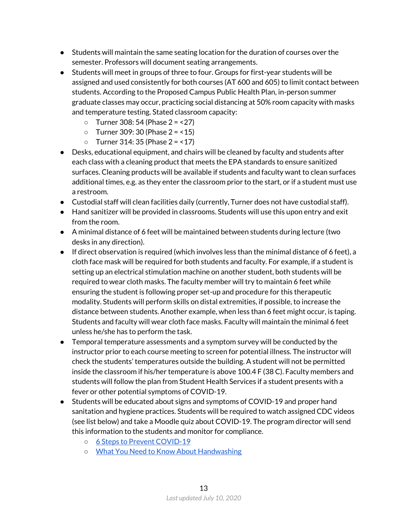- Students will maintain the same seating location for the duration of courses over the semester. Professors will document seating arrangements.
- Students will meet in groups of three to four. Groups for first-year students will be assigned and used consistently for both courses (AT 600 and 605) to limit contact between students. According to the Proposed Campus Public Health Plan, in-person summer graduate classes may occur, practicing social distancing at 50% room capacity with masks and temperature testing. Stated classroom capacity:
	- $\circ$  Turner 308: 54 (Phase 2 = <27)
	- $\circ$  Turner 309: 30 (Phase 2 = <15)
	- $\circ$  Turner 314: 35 (Phase 2 = <17)
- Desks, educational equipment, and chairs will be cleaned by faculty and students after each class with a cleaning product that meets the EPA standards to ensure sanitized surfaces. Cleaning products will be available if students and faculty want to clean surfaces additional times, e.g. as they enter the classroom prior to the start, or if a student must use a restroom.
- Custodial staff will clean facilities daily (currently, Turner does not have custodial staff).
- Hand sanitizer will be provided in classrooms. Students will use this upon entry and exit from the room.
- A minimal distance of 6 feet will be maintained between students during lecture (two desks in any direction).
- If direct observation is required (which involves less than the minimal distance of 6 feet), a cloth face mask will be required for both students and faculty. For example, if a student is setting up an electrical stimulation machine on another student, both students will be required to wear cloth masks. The faculty member will try to maintain 6 feet while ensuring the student is following proper set-up and procedure for this therapeutic modality. Students will perform skills on distal extremities, if possible, to increase the distance between students. Another example, when less than 6 feet might occur, is taping. Students and faculty will wear cloth face masks. Faculty will maintain the minimal 6 feet unless he/she has to perform the task.
- Temporal temperature assessments and a symptom survey will be conducted by the instructor prior to each course meeting to screen for potential illness. The instructor will check the students' temperatures outside the building. A student will not be permitted inside the classroom if his/her temperature is above 100.4 F (38 C). Faculty members and students will follow the plan from Student Health Services if a student presents with a fever or other potential symptoms of COVID-19.
- Students will be educated about signs and symptoms of COVID-19 and proper hand sanitation and hygiene practices. Students will be required to watch assigned CDC videos (see list below) and take a Moodle quiz about COVID-19. The program director will send this information to the students and monitor for compliance.
	- 6 Steps to Prevent [COVID-19](https://www.youtube.com/watch?v=9Ay4u7OYOhA)
	- What You Need to Know About [Handwashing](https://www.youtube.com/watch?v=d914EnpU4Fo)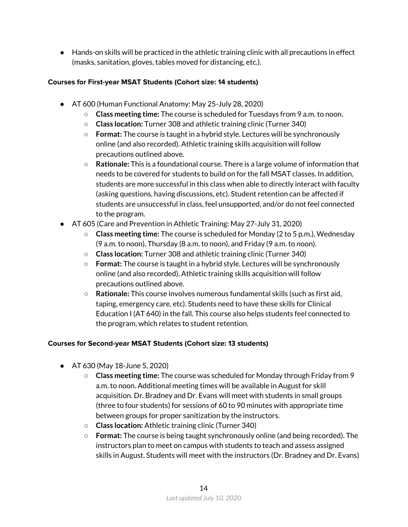● Hands-on skills will be practiced in the athletic training clinic with all precautions in effect (masks, sanitation, gloves, tables moved for distancing, etc.).

#### <span id="page-13-0"></span>**Courses for First-year MSAT Students (Cohort size: 14 students)**

- AT 600 (Human Functional Anatomy: May 25-July 28, 2020)
	- **Class meeting time:** The course is scheduled for Tuesdays from 9 a.m. to noon.
	- **Class location:** Turner 308 and athletic training clinic (Turner 340)
	- **Format:** The course is taught in a hybrid style. Lectures will be synchronously online (and also recorded). Athletic training skills acquisition will follow precautions outlined above.
	- **Rationale:** This is a foundational course. There is a large volume of information that needs to be covered for students to build on for the fall MSAT classes. In addition, students are more successful in this class when able to directly interact with faculty (asking questions, having discussions, etc). Student retention can be affected if students are unsuccessful in class, feel unsupported, and/or do not feel connected to the program.
- AT 605 (Care and Prevention in Athletic Training: May 27-July 31, 2020)
	- **Class meeting time:** The course is scheduled for Monday (2 to 5 p.m.), Wednesday (9 a.m. to noon), Thursday (8 a.m. to noon), and Friday (9 a.m. to noon).
	- **Class location:** Turner 308 and athletic training clinic (Turner 340)
	- **Format:** The course is taught in a hybrid style. Lectures will be synchronously online (and also recorded). Athletic training skills acquisition will follow precautions outlined above.
	- **Rationale:** This course involves numerous fundamental skills (such as first aid, taping, emergency care, etc). Students need to have these skills for Clinical Education I (AT 640) in the fall. This course also helps students feel connected to the program, which relates to student retention.

#### <span id="page-13-1"></span>**Courses for Second-year MSAT Students (Cohort size: 13 students)**

- AT 630 (May 18-June 5, 2020)
	- **Class meeting time:** The course was scheduled for Monday through Friday from 9 a.m. to noon. Additional meeting times will be available in August for skill acquisition. Dr. Bradney and Dr. Evans will meet with students in small groups (three to four students) for sessions of 60 to 90 minutes with appropriate time between groups for proper sanitization by the instructors.
	- **Class location:** Athletic training clinic (Turner 340)
	- **Format:** The course is being taught synchronously online (and being recorded). The instructors plan to meet on campus with students to teach and assess assigned skills in August. Students will meet with the instructors (Dr. Bradney and Dr. Evans)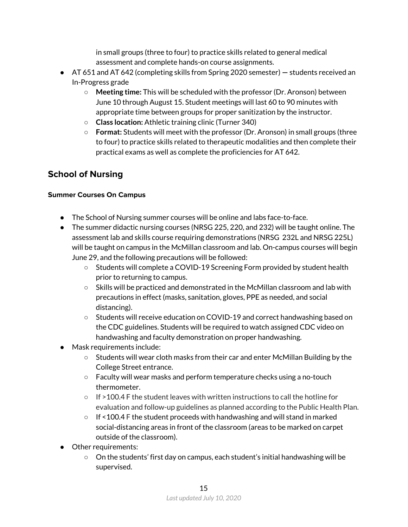in small groups (three to four) to practice skills related to general medical assessment and complete hands-on course assignments.

- AT 651 and AT 642 (completing skills from Spring 2020 semester) **—** students received an In-Progress grade
	- **Meeting time:** This will be scheduled with the professor (Dr. Aronson) between June 10 through August 15. Student meetings will last 60 to 90 minutes with appropriate time between groups for proper sanitization by the instructor.
	- **Class location:** Athletic training clinic (Turner 340)
	- **Format:** Students will meet with the professor (Dr. Aronson) in small groups (three to four) to practice skills related to therapeutic modalities and then complete their practical exams as well as complete the proficiencies for AT 642.

# <span id="page-14-0"></span>**School of Nursing**

#### <span id="page-14-1"></span>**Summer Courses On Campus**

- The School of Nursing summer courses will be online and labs face-to-face.
- The summer didactic nursing courses (NRSG 225, 220, and 232) will be taught online. The assessment lab and skills course requiring demonstrations (NRSG 232L and NRSG 225L) will be taught on campus in the McMillan classroom and lab. On-campus courses will begin June 29, and the following precautions will be followed:
	- Students will complete a COVID-19 Screening Form provided by student health prior to returning to campus.
	- $\circ$  Skills will be practiced and demonstrated in the McMillan classroom and lab with precautions in effect (masks, sanitation, gloves, PPE as needed, and social distancing).
	- Students will receive education on COVID-19 and correct handwashing based on the CDC guidelines. Students will be required to watch assigned CDC video on handwashing and faculty demonstration on proper handwashing.
- Mask requirements include:
	- Students will wear cloth masks from their car and enter McMillan Building by the College Street entrance.
	- Faculty will wear masks and perform temperature checks using a no-touch thermometer.
	- $\circ$  If >100.4 F the student leaves with written instructions to call the hotline for evaluation and follow-up guidelines as planned according to the Public Health Plan.
	- If <100.4 F the student proceeds with handwashing and will stand in marked social-distancing areas in front of the classroom (areas to be marked on carpet outside of the classroom).
- Other requirements:
	- On the students' first day on campus, each student's initial handwashing will be supervised.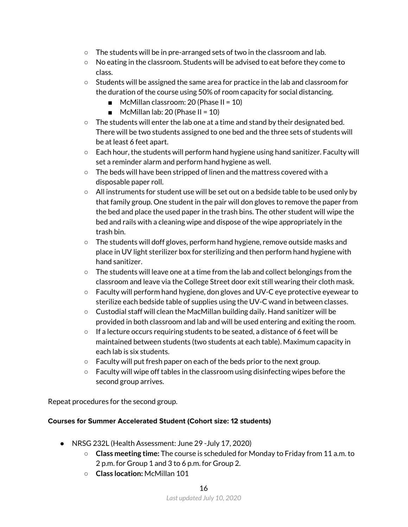- $\circ$  The students will be in pre-arranged sets of two in the classroom and lab.
- No eating in the classroom. Students will be advised to eat before they come to class.
- $\circ$  Students will be assigned the same area for practice in the lab and classroom for the duration of the course using 50% of room capacity for social distancing.
	- $\blacksquare$  McMillan classroom: 20 (Phase II = 10)
	- $\blacksquare$  McMillan lab: 20 (Phase II = 10)
- $\circ$  The students will enter the lab one at a time and stand by their designated bed. There will be two students assigned to one bed and the three sets of students will be at least 6 feet apart.
- Each hour, the students will perform hand hygiene using hand sanitizer. Faculty will set a reminder alarm and perform hand hygiene as well.
- The beds will have been stripped of linen and the mattress covered with a disposable paper roll.
- All instruments for student use will be set out on a bedside table to be used only by that family group. One student in the pair will don gloves to remove the paper from the bed and place the used paper in the trash bins. The other student will wipe the bed and rails with a cleaning wipe and dispose of the wipe appropriately in the trash bin.
- $\circ$  The students will doff gloves, perform hand hygiene, remove outside masks and place in UV light sterilizer box for sterilizing and then perform hand hygiene with hand sanitizer.
- $\circ$  The students will leave one at a time from the lab and collect belongings from the classroom and leave via the College Street door exit still wearing their cloth mask.
- Faculty will perform hand hygiene, don gloves and UV-C eye protective eyewear to sterilize each bedside table of supplies using the UV-C wand in between classes.
- $\circ$  Custodial staff will clean the MacMillan building daily. Hand sanitizer will be provided in both classroom and lab and will be used entering and exiting the room.
- If a lecture occurs requiring students to be seated, a distance of 6 feet will be maintained between students (two students at each table). Maximum capacity in each lab is six students.
- Faculty will put fresh paper on each of the beds prior to the next group.
- Faculty will wipe off tables in the classroom using disinfecting wipes before the second group arrives.

<span id="page-15-0"></span>Repeat procedures for the second group.

#### **Courses for Summer Accelerated Student (Cohort size: 12 students)**

- NRSG 232L (Health Assessment: June 29 -July 17, 2020)
	- **Class meeting time:** The course is scheduled for Monday to Friday from 11 a.m. to 2 p.m. for Group 1 and 3 to 6 p.m. for Group 2.
	- **Class location:** McMillan 101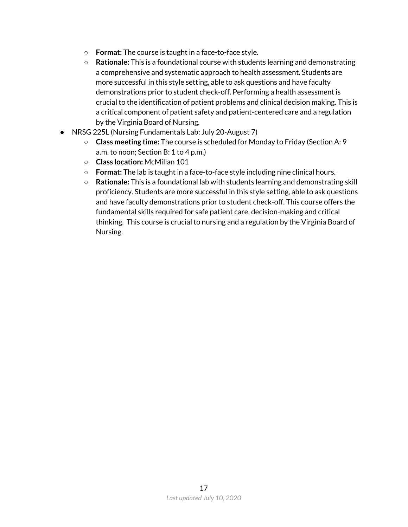- **Format:** The course is taught in a face-to-face style.
- **Rationale:** This is a foundational course with students learning and demonstrating a comprehensive and systematic approach to health assessment. Students are more successful in this style setting, able to ask questions and have faculty demonstrations prior to student check-off. Performing a health assessment is crucial to the identification of patient problems and clinical decision making. This is a critical component of patient safety and patient-centered care and a regulation by the Virginia Board of Nursing.
- NRSG 225L (Nursing Fundamentals Lab: July 20-August 7)
	- **Class meeting time:** The course is scheduled for Monday to Friday (Section A: 9 a.m. to noon; Section B: 1 to 4 p.m.)
	- **Class location:** McMillan 101
	- **Format:** The lab is taught in a face-to-face style including nine clinical hours.
	- **Rationale:** This is a foundational lab with students learning and demonstrating skill proficiency. Students are more successful in this style setting, able to ask questions and have faculty demonstrations prior to student check-off. This course offers the fundamental skills required for safe patient care, decision-making and critical thinking. This course is crucial to nursing and a regulation by the Virginia Board of Nursing.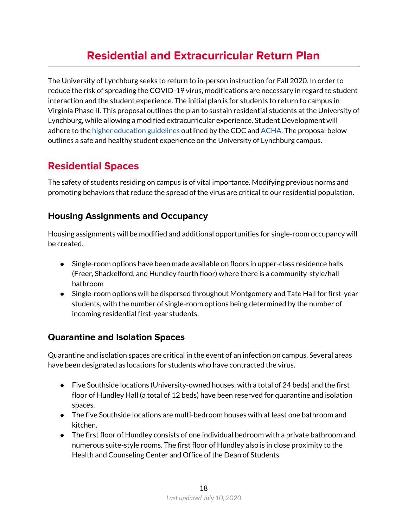# **Residential and Extracurricular Return Plan**

<span id="page-17-0"></span>The University of Lynchburg seeks to return to in-person instruction for Fall 2020. In order to reduce the risk of spreading the COVID-19 virus, modifications are necessary in regard to student interaction and the student experience. The initial plan is for students to return to campus in Virginia Phase II. This proposal outlines the plan to sustain residential students at the University of Lynchburg, while allowing a modified extracurricular experience. Student Development will adhere to the higher education [guidelines](https://www.cdc.gov/coronavirus/2019-ncov/community/colleges-universities/considerations.html) outlined by the CDC and [ACHA](https://www.acha.org/documents/resources/guidelines/ACHA_Considerations_for_Reopening_IHEs_in_the_COVID-19_Era_May2020.pdf). The proposal below outlines a safe and healthy student experience on the University of Lynchburg campus.

# <span id="page-17-1"></span>**Residential Spaces**

The safety of students residing on campus is of vital importance. Modifying previous norms and promoting behaviors that reduce the spread of the virus are critical to our residential population.

### <span id="page-17-2"></span>**Housing Assignments and Occupancy**

Housing assignments will be modified and additional opportunities for single-room occupancy will be created.

- Single-room options have been made available on floors in upper-class residence halls (Freer, Shackelford, and Hundley fourth floor) where there is a community-style/hall bathroom
- Single-room options will be dispersed throughout Montgomery and Tate Hall for first-year students, with the number of single-room options being determined by the number of incoming residential first-year students.

### <span id="page-17-3"></span>**Quarantine and Isolation Spaces**

Quarantine and isolation spaces are critical in the event of an infection on campus. Several areas have been designated as locations for students who have contracted the virus.

- Five Southside locations (University-owned houses, with a total of 24 beds) and the first floor of Hundley Hall (a total of 12 beds) have been reserved for quarantine and isolation spaces.
- The five Southside locations are multi-bedroom houses with at least one bathroom and kitchen.
- The first floor of Hundley consists of one individual bedroom with a private bathroom and numerous suite-style rooms. The first floor of Hundley also is in close proximity to the Health and Counseling Center and Office of the Dean of Students.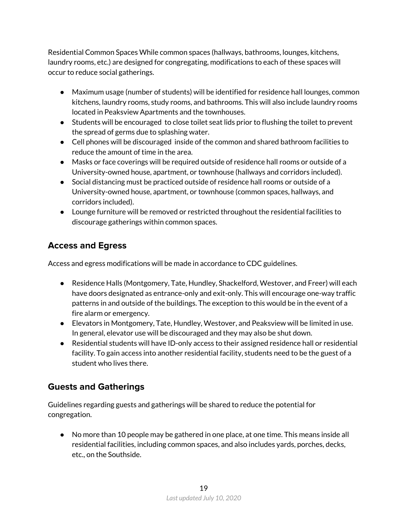Residential Common Spaces While common spaces (hallways, bathrooms, lounges, kitchens, laundry rooms, etc.) are designed for congregating, modifications to each of these spaces will occur to reduce social gatherings.

- Maximum usage (number of students) will be identified for residence hall lounges, common kitchens, laundry rooms, study rooms, and bathrooms. This will also include laundry rooms located in Peaksview Apartments and the townhouses.
- Students will be encouraged to close toilet seat lids prior to flushing the toilet to prevent the spread of germs due to splashing water.
- Cell phones will be discouraged inside of the common and shared bathroom facilities to reduce the amount of time in the area.
- Masks or face coverings will be required outside of residence hall rooms or outside of a University-owned house, apartment, or townhouse (hallways and corridors included).
- Social distancing must be practiced outside of residence hall rooms or outside of a University-owned house, apartment, or townhouse (common spaces, hallways, and corridors included).
- Lounge furniture will be removed or restricted throughout the residential facilities to discourage gatherings within common spaces.

# <span id="page-18-0"></span>**Access and Egress**

Access and egress modifications will be made in accordance to CDC guidelines.

- Residence Halls (Montgomery, Tate, Hundley, Shackelford, Westover, and Freer) will each have doors designated as entrance-only and exit-only. This will encourage one-way traffic patterns in and outside of the buildings. The exception to this would be in the event of a fire alarm or emergency.
- Elevators in Montgomery, Tate, Hundley, Westover, and Peaksview will be limited in use. In general, elevator use will be discouraged and they may also be shut down.
- Residential students will have ID-only access to their assigned residence hall or residential facility. To gain access into another residential facility, students need to be the guest of a student who lives there.

# <span id="page-18-1"></span>**Guests and Gatherings**

Guidelines regarding guests and gatherings will be shared to reduce the potential for congregation.

● No more than 10 people may be gathered in one place, at one time. This means inside all residential facilities, including common spaces, and also includes yards, porches, decks, etc., on the Southside.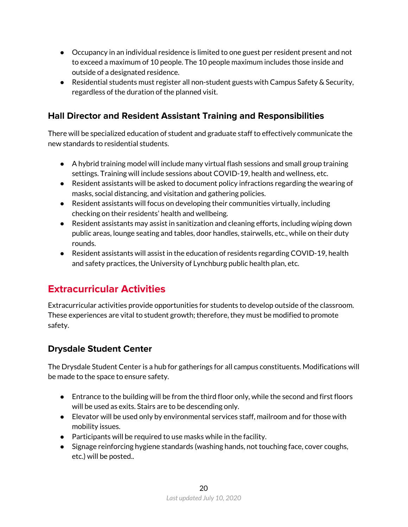- Occupancy in an individual residence is limited to one guest per resident present and not to exceed a maximum of 10 people. The 10 people maximum includes those inside and outside of a designated residence.
- Residential students must register all non-student guests with Campus Safety & Security, regardless of the duration of the planned visit.

# <span id="page-19-0"></span>**Hall Director and Resident Assistant Training and Responsibilities**

There will be specialized education of student and graduate staff to effectively communicate the new standards to residential students.

- A hybrid training model will include many virtual flash sessions and small group training settings. Training will include sessions about COVID-19, health and wellness, etc.
- Resident assistants will be asked to document policy infractions regarding the wearing of masks, social distancing, and visitation and gathering policies.
- Resident assistants will focus on developing their communities virtually, including checking on their residents' health and wellbeing.
- Resident assistants may assist in sanitization and cleaning efforts, including wiping down public areas, lounge seating and tables, door handles, stairwells, etc., while on their duty rounds.
- Resident assistants will assist in the education of residents regarding COVID-19, health and safety practices, the University of Lynchburg public health plan, etc.

# <span id="page-19-1"></span>**Extracurricular Activities**

Extracurricular activities provide opportunities for students to develop outside of the classroom. These experiences are vital to student growth; therefore, they must be modified to promote safety.

### <span id="page-19-2"></span>**Drysdale Student Center**

The Drysdale Student Center is a hub for gatherings for all campus constituents. Modifications will be made to the space to ensure safety.

- Entrance to the building will be from the third floor only, while the second and first floors will be used as exits. Stairs are to be descending only.
- Elevator will be used only by environmental services staff, mailroom and for those with mobility issues.
- Participants will be required to use masks while in the facility.
- Signage reinforcing hygiene standards (washing hands, not touching face, cover coughs, etc.) will be posted..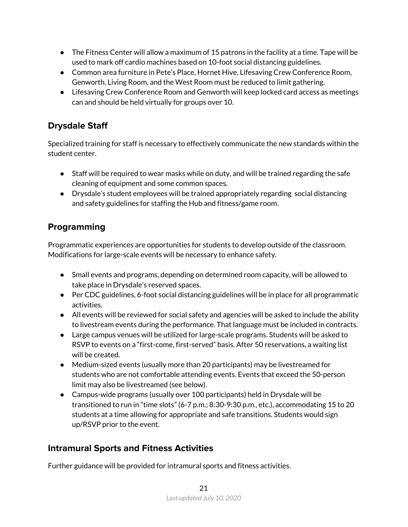- $\bullet$  The Fitness Center will allow a maximum of 15 patrons in the facility at a time. Tape will be used to mark off cardio machines based on 10-foot social distancing guidelines.
- Common area furniture in Pete's Place, Hornet Hive, Lifesaving Crew Conference Room, Genworth, Living Room, and the West Room must be reduced to limit gathering.
- Lifesaving Crew Conference Room and Genworth will keep locked card access as meetings can and should be held virtually for groups over 10.

# <span id="page-20-0"></span>**Drysdale Staff**

Specialized training for staff is necessary to effectively communicate the new standards within the student center.

- Staff will be required to wear masks while on duty, and will be trained regarding the safe cleaning of equipment and some common spaces.
- Drysdale's student employees will be trained appropriately regarding social distancing and safety guidelines for staffing the Hub and fitness/game room.

# <span id="page-20-1"></span>**Programming**

Programmatic experiences are opportunities for students to develop outside of the classroom. Modifications for large-scale events will be necessary to enhance safety.

- Small events and programs, depending on determined room capacity, will be allowed to take place in Drysdale's reserved spaces.
- Per CDC guidelines, 6-foot social distancing guidelines will be in place for all programmatic activities.
- All events will be reviewed for social safety and agencies will be asked to include the ability to livestream events during the performance. That language must be included in contracts.
- Large campus venues will be utilized for large-scale programs. Students will be asked to RSVP to events on a "first-come, first-served" basis. After 50 reservations, a waiting list will be created.
- Medium-sized events (usually more than 20 participants) may be livestreamed for students who are not comfortable attending events. Events that exceed the 50-person limit may also be livestreamed (see below).
- Campus-wide programs (usually over 100 participants) held in Drysdale will be transitioned to run in "time slots" (6-7 p.m.; 8:30-9:30 p.m., etc.), accommodating 15 to 20 students at a time allowing for appropriate and safe transitions. Students would sign up/RSVP prior to the event.

# <span id="page-20-2"></span>**Intramural Sports and Fitness Activities**

Further guidance will be provided for intramural sports and fitness activities.